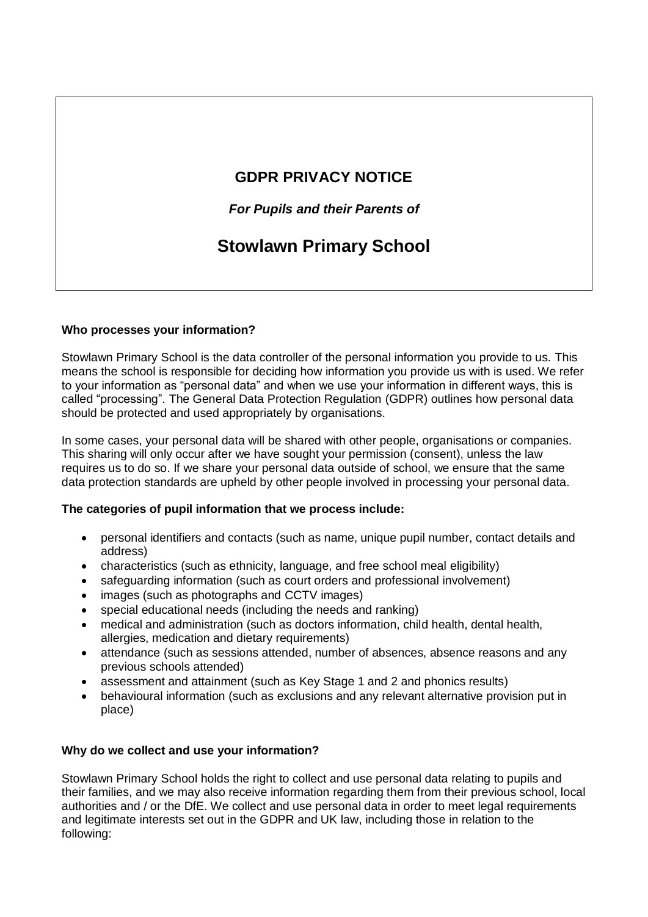# **GDPR PRIVACY NOTICE**

*For Pupils and their Parents of*

# **Stowlawn Primary School**

## **Who processes your information?**

Stowlawn Primary School is the data controller of the personal information you provide to us. This means the school is responsible for deciding how information you provide us with is used. We refer to your information as "personal data" and when we use your information in different ways, this is called "processing". The General Data Protection Regulation (GDPR) outlines how personal data should be protected and used appropriately by organisations.

In some cases, your personal data will be shared with other people, organisations or companies. This sharing will only occur after we have sought your permission (consent), unless the law requires us to do so. If we share your personal data outside of school, we ensure that the same data protection standards are upheld by other people involved in processing your personal data.

#### **The categories of pupil information that we process include:**

- personal identifiers and contacts (such as name, unique pupil number, contact details and address)
- characteristics (such as ethnicity, language, and free school meal eligibility)
- safeguarding information (such as court orders and professional involvement)
- images (such as photographs and CCTV images)
- special educational needs (including the needs and ranking)
- medical and administration (such as doctors information, child health, dental health, allergies, medication and dietary requirements)
- attendance (such as sessions attended, number of absences, absence reasons and any previous schools attended)
- assessment and attainment (such as Key Stage 1 and 2 and phonics results)
- behavioural information (such as exclusions and any relevant alternative provision put in place)

# **Why do we collect and use your information?**

Stowlawn Primary School holds the right to collect and use personal data relating to pupils and their families, and we may also receive information regarding them from their previous school, local authorities and / or the DfE. We collect and use personal data in order to meet legal requirements and legitimate interests set out in the GDPR and UK law, including those in relation to the following: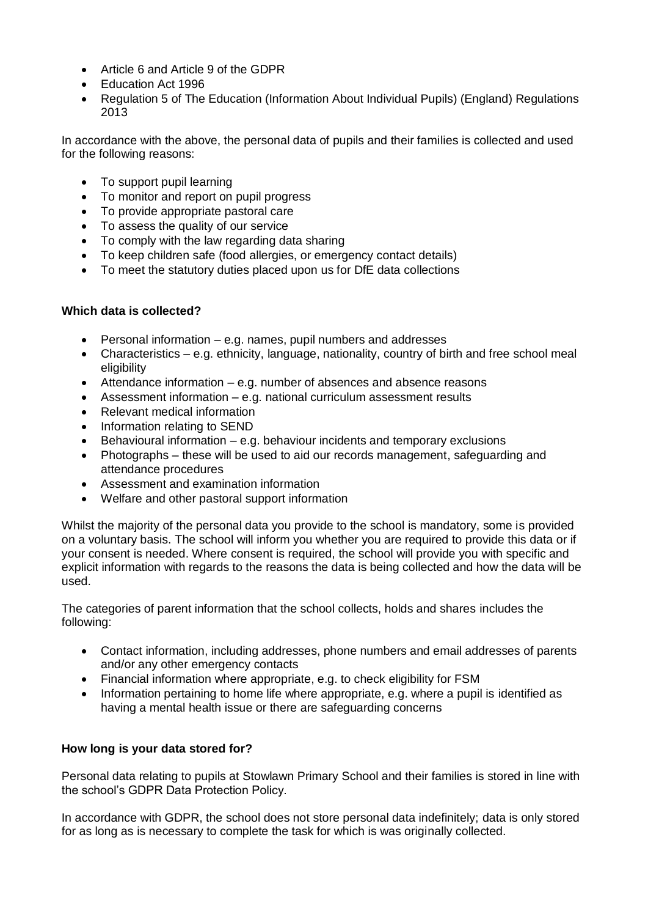- Article 6 and Article 9 of the GDPR
- Fducation Act 1996
- Regulation 5 of The Education (Information About Individual Pupils) (England) Regulations 2013

In accordance with the above, the personal data of pupils and their families is collected and used for the following reasons:

- To support pupil learning
- To monitor and report on pupil progress
- To provide appropriate pastoral care
- To assess the quality of our service
- To comply with the law regarding data sharing
- To keep children safe (food allergies, or emergency contact details)
- To meet the statutory duties placed upon us for DfE data collections

#### **Which data is collected?**

- Personal information e.g. names, pupil numbers and addresses
- Characteristics e.g. ethnicity, language, nationality, country of birth and free school meal eligibility
- Attendance information e.g. number of absences and absence reasons
- Assessment information e.g. national curriculum assessment results
- Relevant medical information
- Information relating to SEND
- $\bullet$  Behavioural information e.g. behaviour incidents and temporary exclusions
- Photographs these will be used to aid our records management, safeguarding and attendance procedures
- Assessment and examination information
- Welfare and other pastoral support information

Whilst the majority of the personal data you provide to the school is mandatory, some is provided on a voluntary basis. The school will inform you whether you are required to provide this data or if your consent is needed. Where consent is required, the school will provide you with specific and explicit information with regards to the reasons the data is being collected and how the data will be used.

The categories of parent information that the school collects, holds and shares includes the following:

- Contact information, including addresses, phone numbers and email addresses of parents and/or any other emergency contacts
- Financial information where appropriate, e.g. to check eligibility for FSM
- Information pertaining to home life where appropriate, e.g. where a pupil is identified as having a mental health issue or there are safeguarding concerns

# **How long is your data stored for?**

Personal data relating to pupils at Stowlawn Primary School and their families is stored in line with the school's GDPR Data Protection Policy.

In accordance with GDPR, the school does not store personal data indefinitely; data is only stored for as long as is necessary to complete the task for which is was originally collected.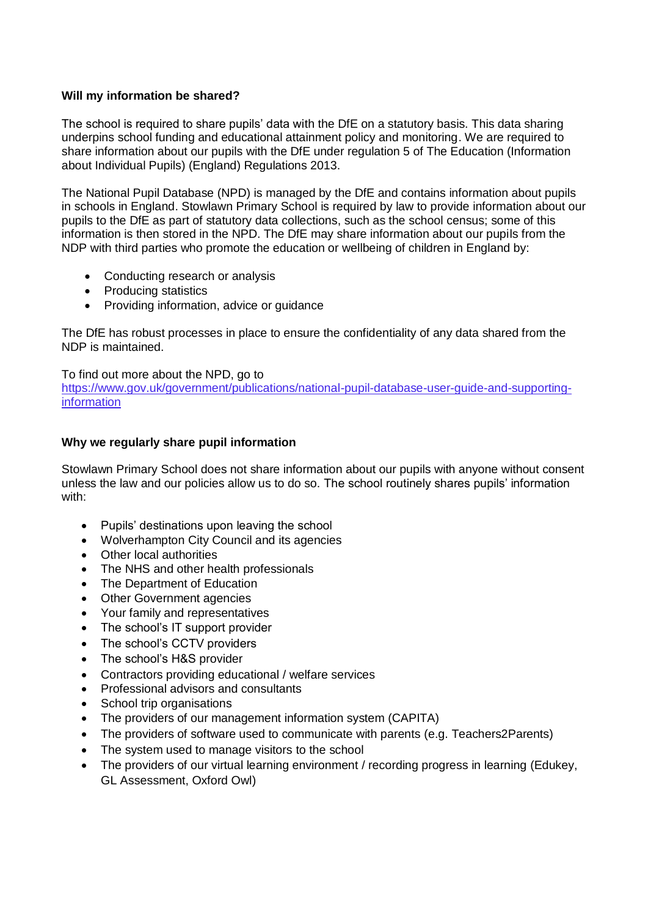#### **Will my information be shared?**

The school is required to share pupils' data with the DfE on a statutory basis. This data sharing underpins school funding and educational attainment policy and monitoring. We are required to share information about our pupils with the DfE under regulation 5 of The Education (Information about Individual Pupils) (England) Regulations 2013.

The National Pupil Database (NPD) is managed by the DfE and contains information about pupils in schools in England. Stowlawn Primary School is required by law to provide information about our pupils to the DfE as part of statutory data collections, such as the school census; some of this information is then stored in the NPD. The DfE may share information about our pupils from the NDP with third parties who promote the education or wellbeing of children in England by:

- Conducting research or analysis
- Producing statistics
- Providing information, advice or quidance

The DfE has robust processes in place to ensure the confidentiality of any data shared from the NDP is maintained.

To find out more about the NPD, go to https://www.gov.uk/government/publications/national-pupil-database-user-guide-and-supportinginformation

#### **Why we regularly share pupil information**

Stowlawn Primary School does not share information about our pupils with anyone without consent unless the law and our policies allow us to do so. The school routinely shares pupils' information with:

- Pupils' destinations upon leaving the school
- Wolverhampton City Council and its agencies
- Other local authorities
- The NHS and other health professionals
- The Department of Education
- Other Government agencies
- Your family and representatives
- The school's IT support provider
- The school's CCTV providers
- The school's H&S provider
- Contractors providing educational / welfare services
- Professional advisors and consultants
- School trip organisations
- The providers of our management information system (CAPITA)
- The providers of software used to communicate with parents (e.g. Teachers2Parents)
- The system used to manage visitors to the school
- The providers of our virtual learning environment / recording progress in learning (Edukey, GL Assessment, Oxford Owl)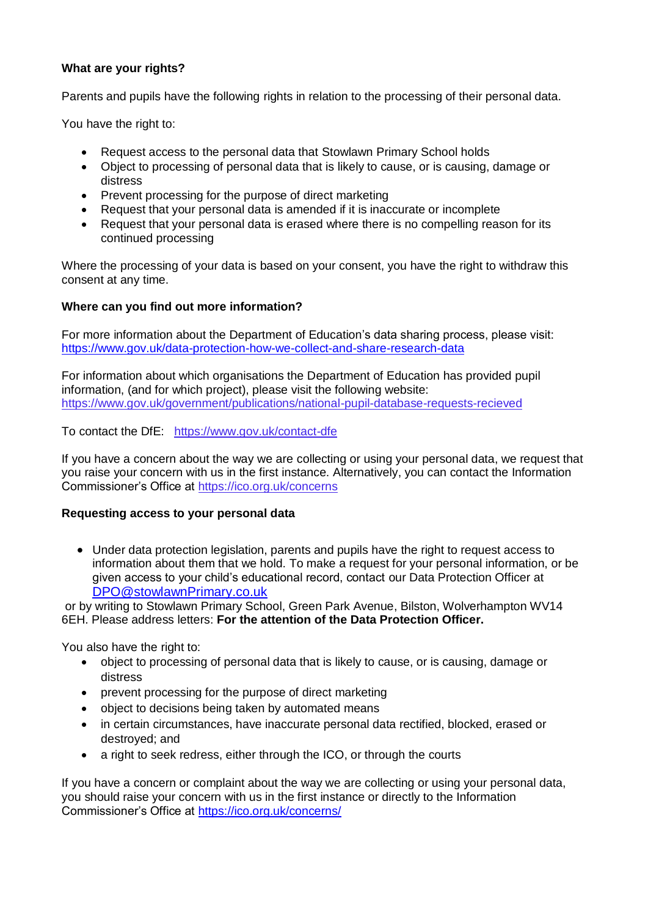#### **What are your rights?**

Parents and pupils have the following rights in relation to the processing of their personal data.

You have the right to:

- Request access to the personal data that Stowlawn Primary School holds
- Object to processing of personal data that is likely to cause, or is causing, damage or distress
- Prevent processing for the purpose of direct marketing
- Request that your personal data is amended if it is inaccurate or incomplete
- Request that your personal data is erased where there is no compelling reason for its continued processing

Where the processing of your data is based on your consent, you have the right to withdraw this consent at any time.

## **Where can you find out more information?**

For more information about the Department of Education's data sharing process, please visit: <https://www.gov.uk/data-protection-how-we-collect-and-share-research-data>

For information about which organisations the Department of Education has provided pupil information, (and for which project), please visit the following website: https://www.gov.uk/government/publications/national-pupil-database-requests-recieved

To contact the DfE: https://www.gov.uk/contact-dfe

If you have a concern about the way we are collecting or using your personal data, we request that you raise your concern with us in the first instance. Alternatively, you can contact the Information Commissioner's Office at https://ico.org.uk/concerns

#### **Requesting access to your personal data**

 Under data protection legislation, parents and pupils have the right to request access to information about them that we hold. To make a request for your personal information, or be given access to your child's educational record, contact our Data Protection Officer at [DPO@stowlawnPrimary.co.uk](mailto:Stowlawnprimary.GroupEmail@wovlerhampton.gov.uk)

or by writing to Stowlawn Primary School, Green Park Avenue, Bilston, Wolverhampton WV14 6EH. Please address letters: **For the attention of the Data Protection Officer.** 

You also have the right to:

- object to processing of personal data that is likely to cause, or is causing, damage or distress
- prevent processing for the purpose of direct marketing
- object to decisions being taken by automated means
- in certain circumstances, have inaccurate personal data rectified, blocked, erased or destroyed; and
- a right to seek redress, either through the ICO, or through the courts

If you have a concern or complaint about the way we are collecting or using your personal data, you should raise your concern with us in the first instance or directly to the Information Commissioner's Office at<https://ico.org.uk/concerns/>